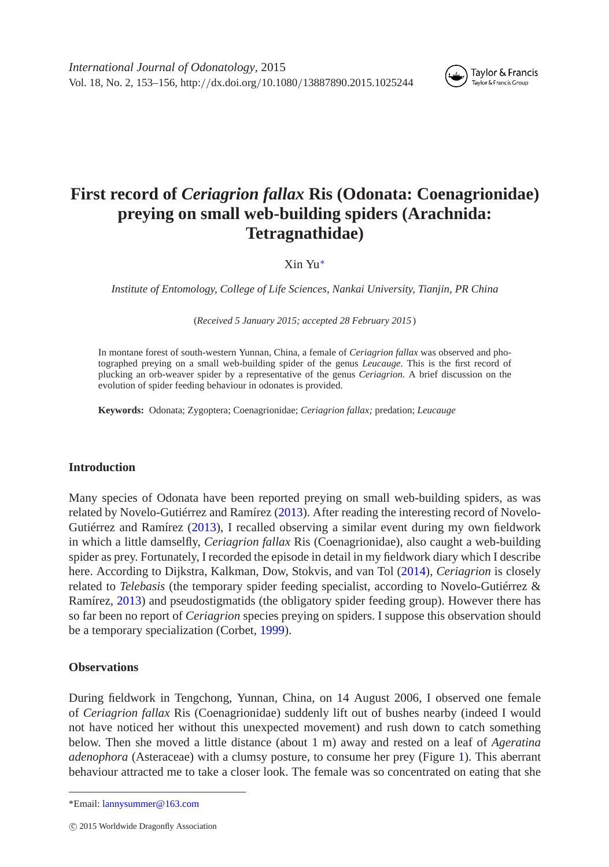

# **First record of** *Ceriagrion fallax* **Ris (Odonata: Coenagrionidae) preying on small web-building spiders (Arachnida: Tetragnathidae)**

Xin Yu[∗](#page-0-0)

*Institute of Entomology, College of Life Sciences, Nankai University, Tianjin, PR China*

(*Received 5 January 2015; accepted 28 February 2015* )

In montane forest of south-western Yunnan, China, a female of *Ceriagrion fallax* was observed and photographed preying on a small web-building spider of the genus *Leucauge*. This is the first record of plucking an orb-weaver spider by a representative of the genus *Ceriagrion*. A brief discussion on the evolution of spider feeding behaviour in odonates is provided.

**Keywords:** Odonata; Zygoptera; Coenagrionidae; *Ceriagrion fallax;* predation; *Leucauge*

## **Introduction**

Many species of Odonata have been reported preying on small web-building spiders, as was related by Novelo-Gutiérrez and Ramírez [\(2013\)](#page-3-0). After reading the interesting record of Novelo-Gutiérrez and Ramírez [\(2013\)](#page-3-0), I recalled observing a similar event during my own fieldwork in which a little damselfly, *Ceriagrion fallax* Ris (Coenagrionidae), also caught a web-building spider as prey. Fortunately, I recorded the episode in detail in my fieldwork diary which I describe here. According to Dijkstra, Kalkman, Dow, Stokvis, and van Tol [\(2014\)](#page-3-1), *Ceriagrion* is closely related to *Telebasis* (the temporary spider feeding specialist, according to Novelo-Gutiérrez & Ramírez, [2013\)](#page-3-0) and pseudostigmatids (the obligatory spider feeding group). However there has so far been no report of *Ceriagrion* species preying on spiders. I suppose this observation should be a temporary specialization (Corbet, [1999\)](#page-3-2).

## **Observations**

During fieldwork in Tengchong, Yunnan, China, on 14 August 2006, I observed one female of *Ceriagrion fallax* Ris (Coenagrionidae) suddenly lift out of bushes nearby (indeed I would not have noticed her without this unexpected movement) and rush down to catch something below. Then she moved a little distance (about 1 m) away and rested on a leaf of *Ageratina adenophora* (Asteraceae) with a clumsy posture, to consume her prey (Figure [1\)](#page-1-0). This aberrant behaviour attracted me to take a closer look. The female was so concentrated on eating that she

<span id="page-0-0"></span><sup>\*</sup>Email: [lannysummer@163.com](mailto:lannysummer@163.com)

c 2015 Worldwide Dragonfly Association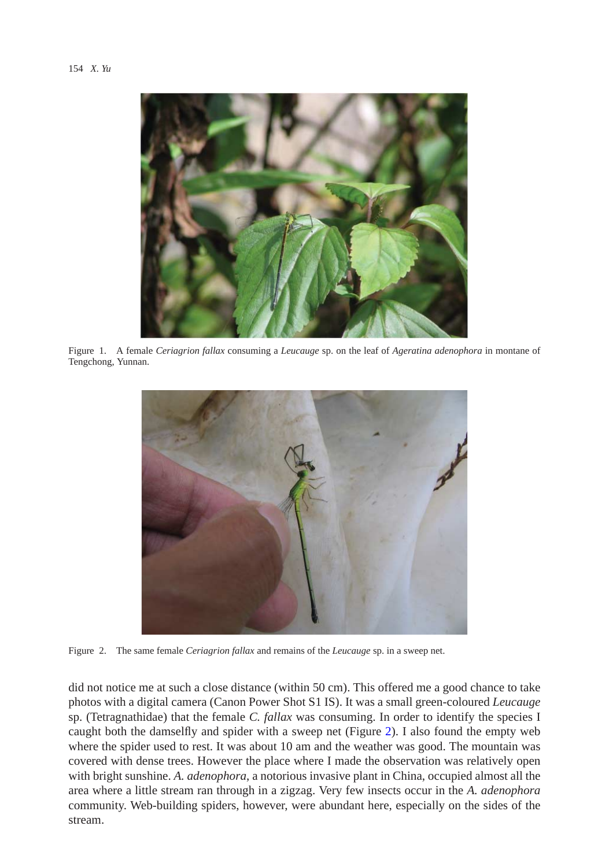

Figure 1. A female *Ceriagrion fallax* consuming a *Leucauge* sp. on the leaf of *Ageratina adenophora* in montane of Tengchong, Yunnan.

<span id="page-1-0"></span>

Figure 2. The same female *Ceriagrion fallax* and remains of the *Leucauge* sp. in a sweep net.

<span id="page-1-1"></span>did not notice me at such a close distance (within 50 cm). This offered me a good chance to take photos with a digital camera (Canon Power Shot S1 IS). It was a small green-coloured *Leucauge* sp. (Tetragnathidae) that the female *C. fallax* was consuming. In order to identify the species I caught both the damselfly and spider with a sweep net (Figure [2\)](#page-1-1). I also found the empty web where the spider used to rest. It was about 10 am and the weather was good. The mountain was covered with dense trees. However the place where I made the observation was relatively open with bright sunshine. *A. adenophora*, a notorious invasive plant in China, occupied almost all the area where a little stream ran through in a zigzag. Very few insects occur in the *A. adenophora* community. Web-building spiders, however, were abundant here, especially on the sides of the stream.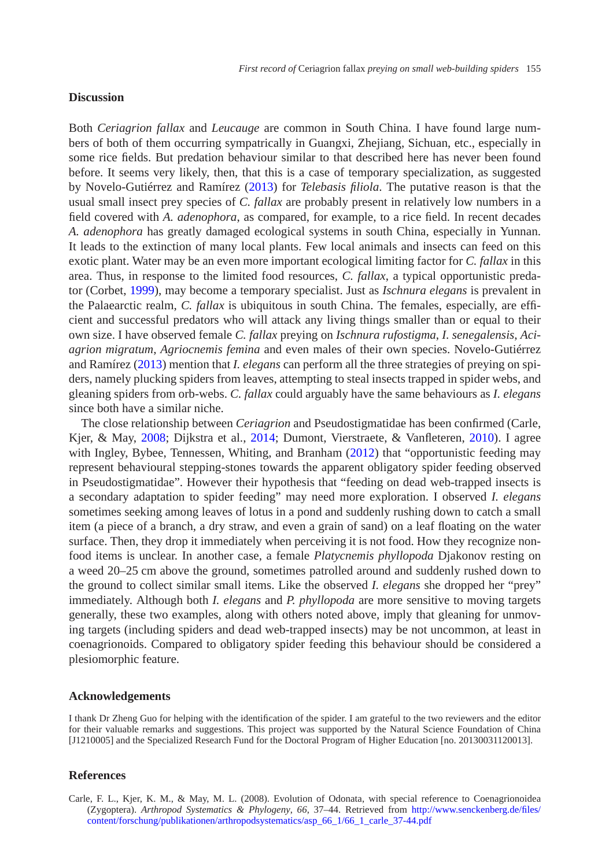### **Discussion**

Both *Ceriagrion fallax* and *Leucauge* are common in South China. I have found large numbers of both of them occurring sympatrically in Guangxi, Zhejiang, Sichuan, etc., especially in some rice fields. But predation behaviour similar to that described here has never been found before. It seems very likely, then, that this is a case of temporary specialization, as suggested by Novelo-Gutiérrez and Ramírez [\(2013\)](#page-3-0) for *Telebasis filiola*. The putative reason is that the usual small insect prey species of *C. fallax* are probably present in relatively low numbers in a field covered with *A. adenophora*, as compared, for example, to a rice field. In recent decades *A. adenophora* has greatly damaged ecological systems in south China, especially in Yunnan. It leads to the extinction of many local plants. Few local animals and insects can feed on this exotic plant. Water may be an even more important ecological limiting factor for *C. fallax* in this area. Thus, in response to the limited food resources, *C. fallax*, a typical opportunistic predator (Corbet, [1999\)](#page-3-2), may become a temporary specialist. Just as *Ischnura elegans* is prevalent in the Palaearctic realm, *C. fallax* is ubiquitous in south China. The females, especially, are efficient and successful predators who will attack any living things smaller than or equal to their own size. I have observed female *C. fallax* preying on *Ischnura rufostigma*, *I. senegalensis*, *Aciagrion migratum*, *Agriocnemis femina* and even males of their own species. Novelo-Gutiérrez and Ramírez [\(2013\)](#page-3-0) mention that *I. elegans* can perform all the three strategies of preying on spiders, namely plucking spiders from leaves, attempting to steal insects trapped in spider webs, and gleaning spiders from orb-webs. *C. fallax* could arguably have the same behaviours as *I. elegans* since both have a similar niche.

The close relationship between *Ceriagrion* and Pseudostigmatidae has been confirmed (Carle, Kjer, & May, [2008;](#page-2-0) Dijkstra et al., [2014;](#page-3-1) Dumont, Vierstraete, & Vanfleteren, [2010\)](#page-3-3). I agree with Ingley, Bybee, Tennessen, Whiting, and Branham [\(2012\)](#page-3-4) that "opportunistic feeding may represent behavioural stepping-stones towards the apparent obligatory spider feeding observed in Pseudostigmatidae". However their hypothesis that "feeding on dead web-trapped insects is a secondary adaptation to spider feeding" may need more exploration. I observed *I. elegans* sometimes seeking among leaves of lotus in a pond and suddenly rushing down to catch a small item (a piece of a branch, a dry straw, and even a grain of sand) on a leaf floating on the water surface. Then, they drop it immediately when perceiving it is not food. How they recognize nonfood items is unclear. In another case, a female *Platycnemis phyllopoda* Djakonov resting on a weed 20–25 cm above the ground, sometimes patrolled around and suddenly rushed down to the ground to collect similar small items. Like the observed *I. elegans* she dropped her "prey" immediately. Although both *I. elegans* and *P. phyllopoda* are more sensitive to moving targets generally, these two examples, along with others noted above, imply that gleaning for unmoving targets (including spiders and dead web-trapped insects) may be not uncommon, at least in coenagrionoids. Compared to obligatory spider feeding this behaviour should be considered a plesiomorphic feature.

### **Acknowledgements**

I thank Dr Zheng Guo for helping with the identification of the spider. I am grateful to the two reviewers and the editor for their valuable remarks and suggestions. This project was supported by the Natural Science Foundation of China [J1210005] and the Specialized Research Fund for the Doctoral Program of Higher Education [no. 20130031120013].

#### **References**

<span id="page-2-0"></span>Carle, F. L., Kjer, K. M., & May, M. L. (2008). Evolution of Odonata, with special reference to Coenagrionoidea (Zygoptera). *Arthropod Systematics & Phylogeny*, *66*, 37–44. Retrieved from [http://www.senckenberg.de/files/](http://www.senckenberg.de/files/content/forschung/publikationen/arthropodsystematics/asp_66_1/66_1_carle_37-44.pdf) [content/forschung/publikationen/arthropodsystematics/asp\\_66\\_1/66\\_1\\_carle\\_37-44.pdf](http://www.senckenberg.de/files/content/forschung/publikationen/arthropodsystematics/asp_66_1/66_1_carle_37-44.pdf)